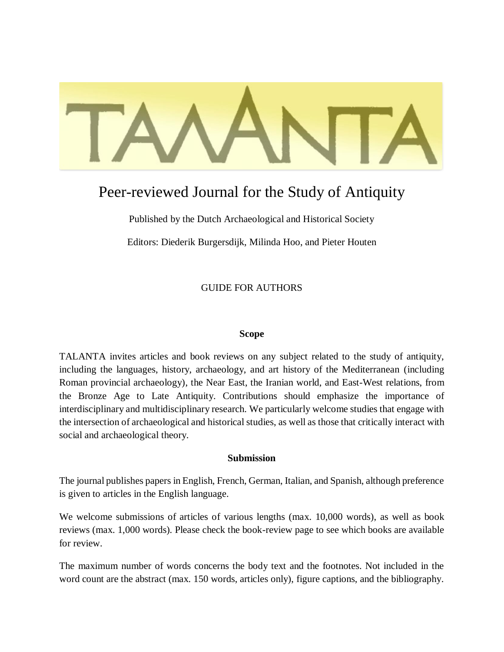# Peer-reviewed Journal for the Study of Antiquity

Published by the Dutch Archaeological and Historical Society

Editors: Diederik Burgersdijk, Milinda Hoo, and Pieter Houten

GUIDE FOR AUTHORS

#### **Scope**

TALANTA invites articles and book reviews on any subject related to the study of antiquity, including the languages, history, archaeology, and art history of the Mediterranean (including Roman provincial archaeology), the Near East, the Iranian world, and East-West relations, from the Bronze Age to Late Antiquity. Contributions should emphasize the importance of interdisciplinary and multidisciplinary research. We particularly welcome studies that engage with the intersection of archaeological and historical studies, as well as those that critically interact with social and archaeological theory.

#### **Submission**

The journal publishes papers in English, French, German, Italian, and Spanish, although preference is given to articles in the English language.

We welcome submissions of articles of various lengths (max. 10,000 words), as well as book reviews (max. 1,000 words). Please check the book-review page to see which books are available for review.

The maximum number of words concerns the body text and the footnotes. Not included in the word count are the abstract (max. 150 words, articles only), figure captions, and the bibliography.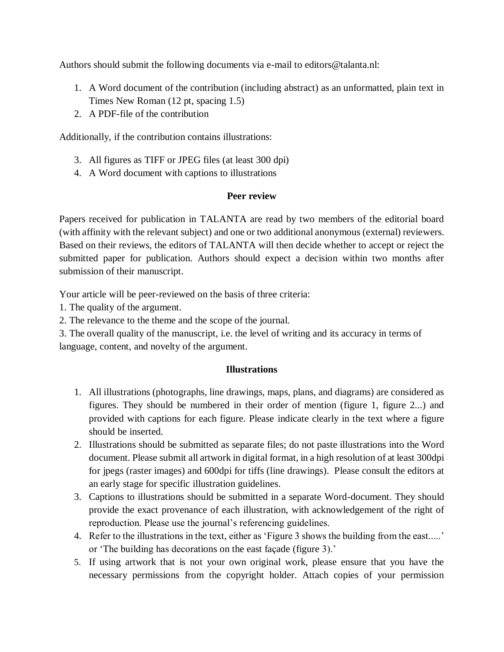Authors should submit the following documents via e-mail to editors@talanta.nl:

- 1. A Word document of the contribution (including abstract) as an unformatted, plain text in Times New Roman (12 pt, spacing 1.5)
- 2. A PDF-file of the contribution

Additionally, if the contribution contains illustrations:

- 3. All figures as TIFF or JPEG files (at least 300 dpi)
- 4. A Word document with captions to illustrations

#### **Peer review**

Papers received for publication in TALANTA are read by two members of the editorial board (with affinity with the relevant subject) and one or two additional anonymous (external) reviewers. Based on their reviews, the editors of TALANTA will then decide whether to accept or reject the submitted paper for publication. Authors should expect a decision within two months after submission of their manuscript.

Your article will be peer-reviewed on the basis of three criteria:

1. The quality of the argument.

2. The relevance to the theme and the scope of the journal.

3. The overall quality of the manuscript, i.e. the level of writing and its accuracy in terms of language, content, and novelty of the argument.

#### **Illustrations**

- 1. All illustrations (photographs, line drawings, maps, plans, and diagrams) are considered as figures. They should be numbered in their order of mention (figure 1, figure 2...) and provided with captions for each figure. Please indicate clearly in the text where a figure should be inserted.
- 2. Illustrations should be submitted as separate files; do not paste illustrations into the Word document. Please submit all artwork in digital format, in a high resolution of at least 300dpi for jpegs (raster images) and 600dpi for tiffs (line drawings). Please consult the editors at an early stage for specific illustration guidelines.
- 3. Captions to illustrations should be submitted in a separate Word-document. They should provide the exact provenance of each illustration, with acknowledgement of the right of reproduction. Please use the journal's referencing guidelines.
- 4. Refer to the illustrations in the text, either as 'Figure 3 shows the building from the east.....' or 'The building has decorations on the east façade (figure 3).'
- 5. If using artwork that is not your own original work, please ensure that you have the necessary permissions from the copyright holder. Attach copies of your permission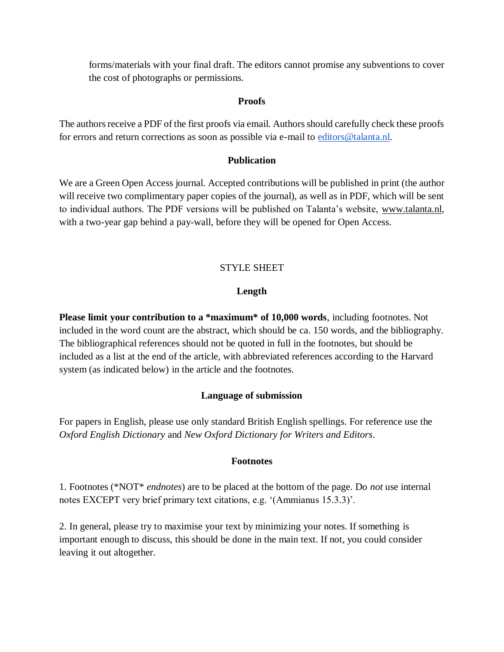forms/materials with your final draft. The editors cannot promise any subventions to cover the cost of photographs or permissions.

#### **Proofs**

The authors receive a PDF of the first proofs via email. Authors should carefully check these proofs for errors and return corrections as soon as possible via e-mail to [editors@talanta.nl.](mailto:editors@talanta.nl)

#### **Publication**

We are a Green Open Access journal. Accepted contributions will be published in print (the author will receive two complimentary paper copies of the journal), as well as in PDF, which will be sent to individual authors. The PDF versions will be published on Talanta's website, [www.talanta.nl,](http://www.talanta.nl/) with a two-year gap behind a pay-wall, before they will be opened for Open Access.

# STYLE SHEET

# **Length**

**Please limit your contribution to a \*maximum\* of 10,000 words**, including footnotes. Not included in the word count are the abstract, which should be ca. 150 words, and the bibliography. The bibliographical references should not be quoted in full in the footnotes, but should be included as a list at the end of the article, with abbreviated references according to the Harvard system (as indicated below) in the article and the footnotes.

# **Language of submission**

For papers in English, please use only standard British English spellings. For reference use the *Oxford English Dictionary* and *New Oxford Dictionary for Writers and Editors*.

# **Footnotes**

1. Footnotes (\*NOT\* *endnotes*) are to be placed at the bottom of the page. Do *not* use internal notes EXCEPT very brief primary text citations, e.g. '(Ammianus 15.3.3)'.

2. In general, please try to maximise your text by minimizing your notes. If something is important enough to discuss, this should be done in the main text. If not, you could consider leaving it out altogether.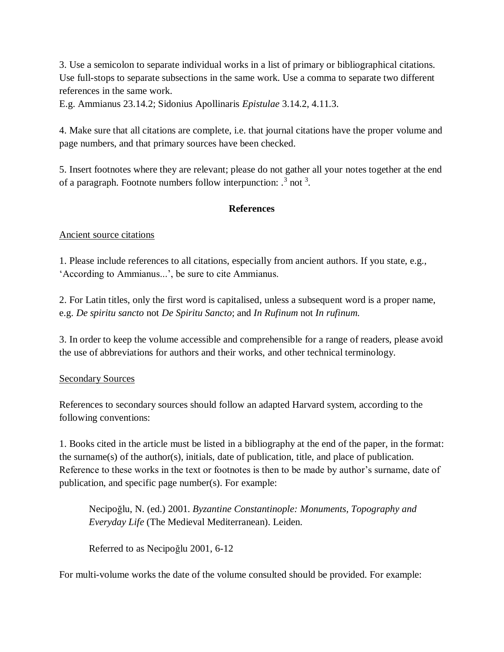3. Use a semicolon to separate individual works in a list of primary or bibliographical citations. Use full-stops to separate subsections in the same work. Use a comma to separate two different references in the same work.

E.g. Ammianus 23.14.2; Sidonius Apollinaris *Epistulae* 3.14.2, 4.11.3.

4. Make sure that all citations are complete, i.e. that journal citations have the proper volume and page numbers, and that primary sources have been checked.

5. Insert footnotes where they are relevant; please do not gather all your notes together at the end of a paragraph. Footnote numbers follow interpunction:  $\cdot$ <sup>3</sup> not<sup>3</sup>.

# **References**

#### Ancient source citations

1. Please include references to all citations, especially from ancient authors. If you state, e.g., 'According to Ammianus...', be sure to cite Ammianus.

2. For Latin titles, only the first word is capitalised, unless a subsequent word is a proper name, e.g. *De spiritu sancto* not *De Spiritu Sancto*; and *In Rufinum* not *In rufinum.*

3. In order to keep the volume accessible and comprehensible for a range of readers, please avoid the use of abbreviations for authors and their works, and other technical terminology.

# Secondary Sources

References to secondary sources should follow an adapted Harvard system, according to the following conventions:

1. Books cited in the article must be listed in a bibliography at the end of the paper, in the format: the surname(s) of the author(s), initials, date of publication, title, and place of publication. Reference to these works in the text or footnotes is then to be made by author's surname, date of publication, and specific page number(s). For example:

Necipoğlu, N. (ed.) 2001. *Byzantine Constantinople: Monuments, Topography and Everyday Life* (The Medieval Mediterranean). Leiden.

Referred to as Necipoğlu 2001, 6-12

For multi-volume works the date of the volume consulted should be provided. For example: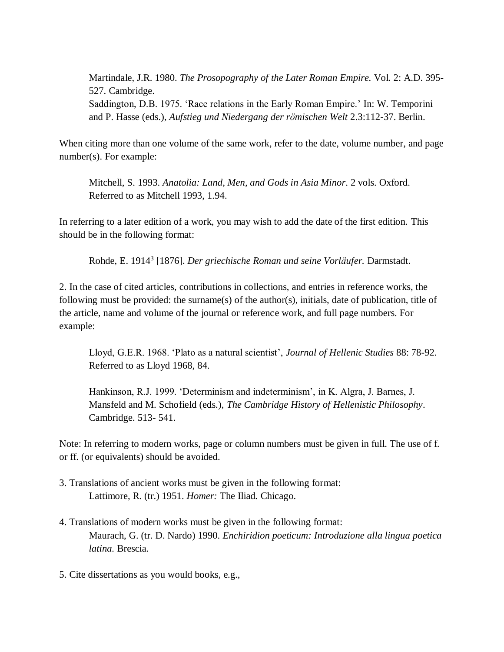Martindale, J.R. 1980. *The Prosopography of the Later Roman Empire.* Vol. 2: A.D. 395- 527. Cambridge. Saddington, D.B. 1975. 'Race relations in the Early Roman Empire.' In: W. Temporini and P. Hasse (eds.), *Aufstieg und Niedergang der römischen Welt* 2.3:112-37. Berlin.

When citing more than one volume of the same work, refer to the date, volume number, and page number(s). For example:

Mitchell, S. 1993. *Anatolia: Land, Men, and Gods in Asia Minor*. 2 vols. Oxford. Referred to as Mitchell 1993, 1.94.

In referring to a later edition of a work, you may wish to add the date of the first edition. This should be in the following format:

Rohde, E. 1914<sup>3</sup> [1876]. *Der griechische Roman und seine Vorläufer.* Darmstadt.

2. In the case of cited articles, contributions in collections, and entries in reference works, the following must be provided: the surname(s) of the author(s), initials, date of publication, title of the article, name and volume of the journal or reference work, and full page numbers. For example:

Lloyd, G.E.R. 1968. 'Plato as a natural scientist', *Journal of Hellenic Studies* 88: 78-92. Referred to as Lloyd 1968, 84.

Hankinson, R.J. 1999. 'Determinism and indeterminism', in K. Algra, J. Barnes, J. Mansfeld and M. Schofield (eds.), *The Cambridge History of Hellenistic Philosophy*. Cambridge. 513- 541.

Note: In referring to modern works, page or column numbers must be given in full. The use of f. or ff. (or equivalents) should be avoided.

- 3. Translations of ancient works must be given in the following format: Lattimore, R. (tr.) 1951. *Homer:* The Iliad*.* Chicago.
- 4. Translations of modern works must be given in the following format: Maurach, G. (tr. D. Nardo) 1990. *Enchiridion poeticum: Introduzione alla lingua poetica latina.* Brescia.
- 5. Cite dissertations as you would books, e.g.,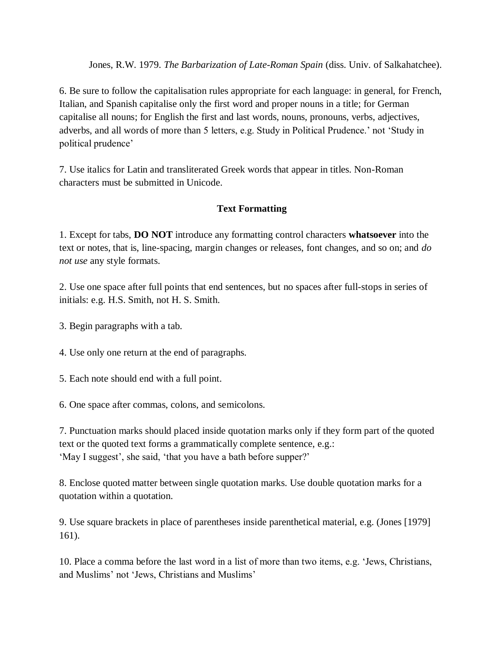Jones, R.W. 1979. *The Barbarization of Late-Roman Spain* (diss. Univ. of Salkahatchee).

6. Be sure to follow the capitalisation rules appropriate for each language: in general, for French, Italian, and Spanish capitalise only the first word and proper nouns in a title; for German capitalise all nouns; for English the first and last words, nouns, pronouns, verbs, adjectives, adverbs, and all words of more than 5 letters, e.g. Study in Political Prudence.' not 'Study in political prudence'

7. Use italics for Latin and transliterated Greek words that appear in titles. Non-Roman characters must be submitted in Unicode.

# **Text Formatting**

1. Except for tabs, **DO NOT** introduce any formatting control characters **whatsoever** into the text or notes, that is, line-spacing, margin changes or releases, font changes, and so on; and *do not use* any style formats.

2. Use one space after full points that end sentences, but no spaces after full-stops in series of initials: e.g. H.S. Smith, not H. S. Smith.

3. Begin paragraphs with a tab.

4. Use only one return at the end of paragraphs.

5. Each note should end with a full point.

6. One space after commas, colons, and semicolons.

7. Punctuation marks should placed inside quotation marks only if they form part of the quoted text or the quoted text forms a grammatically complete sentence, e.g.: 'May I suggest', she said, 'that you have a bath before supper?'

8. Enclose quoted matter between single quotation marks. Use double quotation marks for a quotation within a quotation.

9. Use square brackets in place of parentheses inside parenthetical material, e.g. (Jones [1979] 161).

10. Place a comma before the last word in a list of more than two items, e.g. 'Jews, Christians, and Muslims' not 'Jews, Christians and Muslims'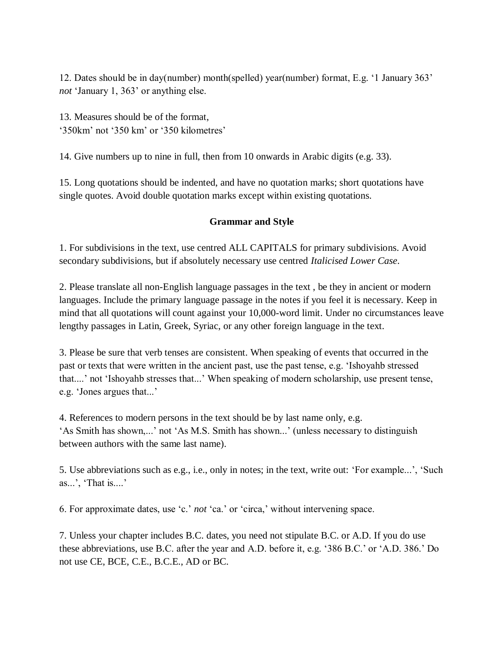12. Dates should be in day(number) month(spelled) year(number) format, E.g. '1 January 363' *not* 'January 1, 363' or anything else.

13. Measures should be of the format, '350km' not '350 km' or '350 kilometres'

14. Give numbers up to nine in full, then from 10 onwards in Arabic digits (e.g. 33).

15. Long quotations should be indented, and have no quotation marks; short quotations have single quotes. Avoid double quotation marks except within existing quotations.

# **Grammar and Style**

1. For subdivisions in the text, use centred ALL CAPITALS for primary subdivisions. Avoid secondary subdivisions, but if absolutely necessary use centred *Italicised Lower Case*.

2. Please translate all non-English language passages in the text , be they in ancient or modern languages. Include the primary language passage in the notes if you feel it is necessary. Keep in mind that all quotations will count against your 10,000-word limit. Under no circumstances leave lengthy passages in Latin, Greek, Syriac, or any other foreign language in the text.

3. Please be sure that verb tenses are consistent. When speaking of events that occurred in the past or texts that were written in the ancient past, use the past tense, e.g. 'Ishoyahb stressed that....' not 'Ishoyahb stresses that...' When speaking of modern scholarship, use present tense, e.g. 'Jones argues that...'

4. References to modern persons in the text should be by last name only, e.g. 'As Smith has shown,...' not 'As M.S. Smith has shown...' (unless necessary to distinguish between authors with the same last name).

5. Use abbreviations such as e.g., i.e., only in notes; in the text, write out: 'For example...', 'Such as...', 'That is....'

6. For approximate dates, use 'c.' *not* 'ca.' or 'circa,' without intervening space.

7. Unless your chapter includes B.C. dates, you need not stipulate B.C. or A.D. If you do use these abbreviations, use B.C. after the year and A.D. before it, e.g. '386 B.C.' or 'A.D. 386.' Do not use CE, BCE, C.E., B.C.E., AD or BC.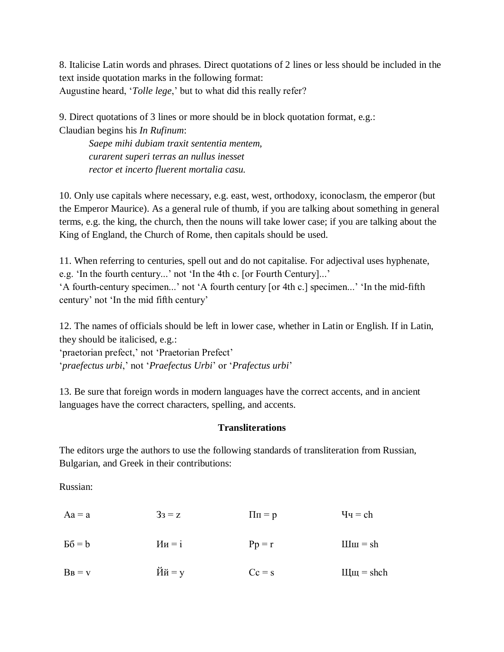8. Italicise Latin words and phrases. Direct quotations of 2 lines or less should be included in the text inside quotation marks in the following format: Augustine heard, '*Tolle lege*,' but to what did this really refer?

9. Direct quotations of 3 lines or more should be in block quotation format, e.g.: Claudian begins his *In Rufinum*:

*Saepe mihi dubiam traxit sententia mentem, curarent superi terras an nullus inesset rector et incerto fluerent mortalia casu.* 

10. Only use capitals where necessary, e.g. east, west, orthodoxy, iconoclasm, the emperor (but the Emperor Maurice). As a general rule of thumb, if you are talking about something in general terms, e.g. the king, the church, then the nouns will take lower case; if you are talking about the King of England, the Church of Rome, then capitals should be used.

11. When referring to centuries, spell out and do not capitalise. For adjectival uses hyphenate, e.g. 'In the fourth century...' not 'In the 4th c. [or Fourth Century]...' 'A fourth-century specimen...' not 'A fourth century [or 4th c.] specimen...' 'In the mid-fifth century' not 'In the mid fifth century'

12. The names of officials should be left in lower case, whether in Latin or English. If in Latin, they should be italicised, e.g.:

'praetorian prefect,' not 'Praetorian Prefect' '*praefectus urbi*,' not '*Praefectus Urbi*' or '*Prafectus urbi*'

13. Be sure that foreign words in modern languages have the correct accents, and in ancient languages have the correct characters, spelling, and accents.

# **Transliterations**

The editors urge the authors to use the following standards of transliteration from Russian, Bulgarian, and Greek in their contributions:

Russian:

| $Aa = a$  | $3_3 = z$                                     | $\Pi$ $\Pi$ = $p$ | $\mathbf{q}_\mathbf{q} = \mathbf{c}\mathbf{h}$ |
|-----------|-----------------------------------------------|-------------------|------------------------------------------------|
| $PQ = P$  | $M_{H} = i$                                   | $Pp = r$          | $IIIIII = sh$                                  |
| $B_B = v$ | $\breve{\text{M}}\breve{\text{H}} = \text{y}$ | $Cc = s$          | $IIIIII =$ shch                                |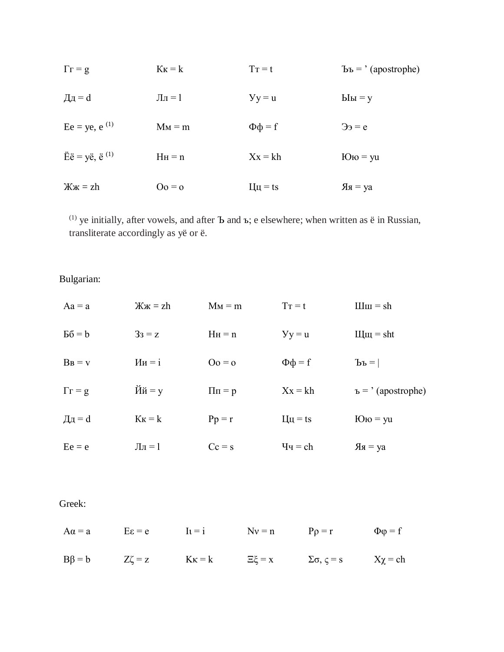| $\Gamma = g$                                     | $K_K = k$      | $T_T = t$                 | $\text{Bb} = \text{'} \left( \text{apostrophe} \right)$ |
|--------------------------------------------------|----------------|---------------------------|---------------------------------------------------------|
| $\mathbf{\Pi} \mathbf{\Pi} = \mathbf{d}$         | $J_{\rm II}=1$ | $y = u$                   | $blu = y$                                               |
| $Ee = ye, e^{(1)}$                               | $M_M = m$      | $\Phi \Phi = f$           | $\Theta$ <sub>3</sub> = e                               |
| $\ddot{E} \ddot{e} = y \ddot{e}, \ddot{e}^{(1)}$ | $H_H = n$      | $Xx = kh$                 | $\text{IO}$ <sub>10</sub> = yu                          |
| $\mathbb{X} \times \mathbb{X} = \mathbb{Z}$ h    | $Oo = o$       | $\mathbf{H} = \mathbf{t}$ | $A = ya$                                                |

(1) ye initially, after vowels, and after Ъ and ъ; е elsewhere; when written as  $\ddot{e}$  in Russian, transliterate accordingly as yë or ë.

Bulgarian:

| $Aa = a$            | $\mathbb{X} \times \mathbb{X} = \mathbb{Z}$ h | $M_M = m$         | $T_{\rm T} = t$                                | $L_{\text{H}} = sh$            |
|---------------------|-----------------------------------------------|-------------------|------------------------------------------------|--------------------------------|
| $B6 = b$            | $33 = z$                                      | $H_H = n$         | $y = u$                                        | $IIIIII = sht$                 |
| $B_B = v$           | $M_{H} = i$                                   | $Oo = o$          | $\Phi \Phi = f$                                | $\mathbf{p}^{\mathbf{p}} =  $  |
| $\Gamma \Gamma = g$ | $\breve{\text{M}}\breve{\text{H}} = \text{y}$ | $\Pi$ $\Pi$ = $p$ | $Xx = kh$                                      | $E = ' (apostrophe)$           |
| Дд = $d$            | $K_K = k$                                     | $Pp = r$          | $\mathbf{H} = \mathbf{t}$                      | $\text{IO}$ <sub>to</sub> = yu |
| $Ee = e$            | $\prod$ <sub><math>\Pi</math></sub> = 1       | $Cc = s$          | $\mathbf{q}_\mathbf{q} = \mathbf{c}\mathbf{h}$ | $A = ya$                       |

# Greek:

|  |  | $A\alpha = a$ $E\epsilon = e$ $I_1 = i$ $Nv = n$ $P\rho = r$ $\Phi\varphi = f$              |  |
|--|--|---------------------------------------------------------------------------------------------|--|
|  |  | $B\beta = b$ $Z\zeta = z$ $K\kappa = k$ $\Xi\xi = x$ $\Sigma\sigma, \zeta = s$ $X\chi = ch$ |  |